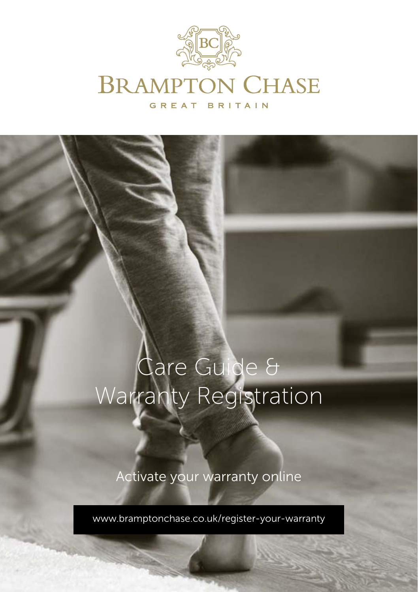

**BRAMPTON CHASE** 

GREAT BRITAIN

# Care Guide & Warranty Registration

Activate your warranty online

www.bramptonchase.co.uk/register-your-warranty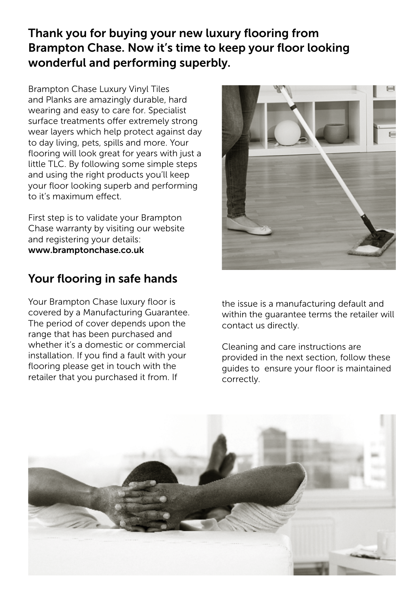# Thank you for buying your new luxury flooring from Brampton Chase. Now it's time to keep your floor looking wonderful and performing superbly.

Brampton Chase Luxury Vinyl Tiles and Planks are amazingly durable, hard wearing and easy to care for. Specialist surface treatments offer extremely strong wear layers which help protect against day to day living, pets, spills and more. Your flooring will look great for years with just a little TLC. By following some simple steps and using the right products you'll keep your floor looking superb and performing to it's maximum effect.

First step is to validate your Brampton Chase warranty by visiting our website and registering your details: www.bramptonchase.co.uk

# Your flooring in safe hands

Your Brampton Chase luxury floor is covered by a Manufacturing Guarantee. The period of cover depends upon the range that has been purchased and whether it's a domestic or commercial installation. If you find a fault with your flooring please get in touch with the retailer that you purchased it from. If



the issue is a manufacturing default and within the guarantee terms the retailer will contact us directly.

Cleaning and care instructions are provided in the next section, follow these guides to ensure your floor is maintained correctly.

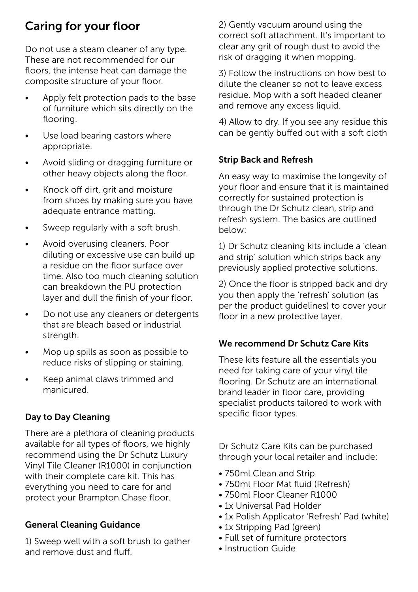# Caring for your floor

Do not use a steam cleaner of any type. These are not recommended for our floors, the intense heat can damage the composite structure of your floor.

- Apply felt protection pads to the base of furniture which sits directly on the flooring.
- Use load bearing castors where appropriate.
- • Avoid sliding or dragging furniture or other heavy objects along the floor.
- Knock off dirt, grit and moisture from shoes by making sure you have adequate entrance matting.
- Sweep regularly with a soft brush.
- Avoid overusing cleaners. Poor diluting or excessive use can build up a residue on the floor surface over time. Also too much cleaning solution can breakdown the PU protection layer and dull the finish of your floor.
- Do not use any cleaners or detergents that are bleach based or industrial strength.
- Mop up spills as soon as possible to reduce risks of slipping or staining.
- Keep animal claws trimmed and manicured.

#### Day to Day Cleaning

There are a plethora of cleaning products available for all types of floors, we highly recommend using the Dr Schutz Luxury Vinyl Tile Cleaner (R1000) in conjunction with their complete care kit. This has everything you need to care for and protect your Brampton Chase floor.

#### General Cleaning Guidance

1) Sweep well with a soft brush to gather and remove dust and fluff.

2) Gently vacuum around using the correct soft attachment. It's important to clear any grit of rough dust to avoid the risk of dragging it when mopping.

3) Follow the instructions on how best to dilute the cleaner so not to leave excess residue. Mop with a soft headed cleaner and remove any excess liquid.

4) Allow to dry. If you see any residue this can be gently buffed out with a soft cloth

#### Strip Back and Refresh

An easy way to maximise the longevity of your floor and ensure that it is maintained correctly for sustained protection is through the Dr Schutz clean, strip and refresh system. The basics are outlined below:

1) Dr Schutz cleaning kits include a 'clean and strip' solution which strips back any previously applied protective solutions.

2) Once the floor is stripped back and dry you then apply the 'refresh' solution (as per the product guidelines) to cover your floor in a new protective layer.

### We recommend Dr Schutz Care Kits

These kits feature all the essentials you need for taking care of your vinyl tile flooring. Dr Schutz are an international brand leader in floor care, providing specialist products tailored to work with specific floor types.

Dr Schutz Care Kits can be purchased through your local retailer and include:

- 750ml Clean and Strip
- 750ml Floor Mat fluid (Refresh)
- 750ml Floor Cleaner R1000
- 1x Universal Pad Holder
- 1x Polish Applicator 'Refresh' Pad (white)
- 1x Stripping Pad (green)
- Full set of furniture protectors
- Instruction Guide